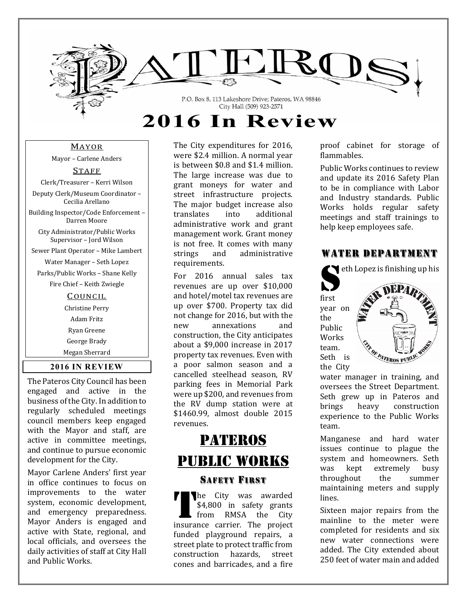

MAYOR

Mayor - Carlene Anders

STAFF

Clerk/Treasurer - Kerri Wilson Deputy Clerk/Museum Coordinator -

Cecilia Arellano 

Building Inspector/Code Enforcement -Darren Moore 

City Administrator/Public Works Supervisor - Jord Wilson

Sewer Plant Operator - Mike Lambert

Water Manager - Seth Lopez

Parks/Public Works - Shane Kelly

Fire Chief - Keith Zwiegle

#### **COUNCIL**

Christine Perry Adam Fritz Ryan Greene George Brady Megan Sherrard 

#### **2016 IN REVIEW**

The Pateros City Council has been engaged and active in the business of the City. In addition to regularly scheduled meetings council members keep engaged with the Mayor and staff, are active in committee meetings, and continue to pursue economic development for the City.

Mayor Carlene Anders' first year in office continues to focus on improvements to the water system, economic development, and emergency preparedness. Mayor Anders is engaged and active with State, regional, and local officials, and oversees the daily activities of staff at City Hall and Public Works.

The City expenditures for 2016, were \$2.4 million. A normal vear is between \$0.8 and \$1.4 million. The large increase was due to grant moneys for water and street infrastructure projects. The major budget increase also translates into additional administrative work and grant management work. Grant money is not free. It comes with many strings and administrative requirements. 

For 2016 annual sales tax revenues are up over \$10,000 and hotel/motel tax revenues are up over \$700. Property tax did not change for 2016, but with the new annexations and construction, the City anticipates about a \$9,000 increase in 2017 property tax revenues. Even with a poor salmon season and a cancelled steelhead season, RV parking fees in Memorial Park were up \$200, and revenues from the RV dump station were at \$1460.99, almost double 2015 revenues. 

# **PATEROS** Public works

#### SAFETY FIRST

The City was awarded \$4,800 in safety grants from RMSA the City insurance carrier. The project funded playground repairs, a street plate to protect traffic from construction hazards, street cones and barricades, and a fire T

proof cabinet for storage of flammables. 

Public Works continues to review and update its 2016 Safety Plan to be in compliance with Labor and Industry standards. Public Works holds regular safety meetings and staff trainings to help keep employees safe.

## WATER DEPARTMENT



water manager in training, and oversees the Street Department. Seth grew up in Pateros and brings heavy construction experience to the Public Works team. 

Manganese and hard water issues continue to plague the system and homeowners. Seth was kept extremely busy throughout the summer maintaining meters and supply lines. 

Sixteen major repairs from the mainline to the meter were completed for residents and six new water connections were added. The City extended about 250 feet of water main and added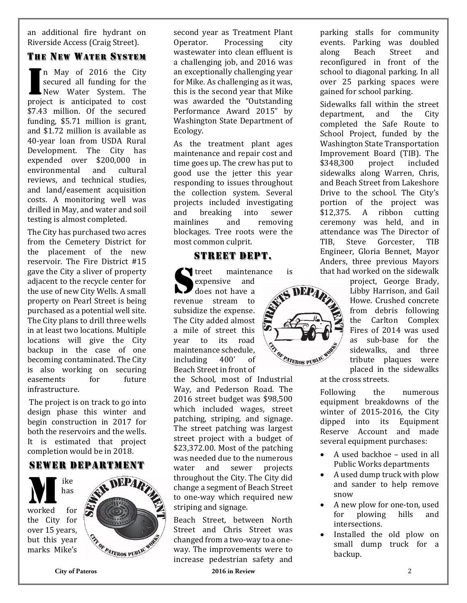an additional fire hydrant on Riverside Access (Craig Street).

## THE NEW WATER SYSTEM

n May of 2016 the City secured all funding for the New Water System. The project is anticipated to cost \$7.43 million. Of the secured funding, \$5.71 million is grant, and \$1.72 million is available as 40-year loan from USDA Rural Development. The City has expended over \$200,000 in environmental and cultural reviews, and technical studies, and land/easement acquisition costs. A monitoring well was drilled in May, and water and soil testing is almost completed. I

The City has purchased two acres from the Cemetery District for the placement of the new reservoir. The Fire District  $#15$ gave the City a sliver of property adjacent to the recycle center for the use of new City Wells. A small property on Pearl Street is being purchased as a potential well site. The City plans to drill three wells in at least two locations. Multiple locations will give the City backup in the case of one becoming contaminated. The City is also working on securing easements for future infrastructure. 

The project is on track to go into design phase this winter and begin construction in 2017 for both the reservoirs and the wells. It is estimated that project completion would be in 2018.

## SEWER DEPARTMENT

ike has worked for the City for over 15 years, but this year marks Mike's M



second year as Treatment Plant Operator. Processing city wastewater into clean effluent is a challenging job, and 2016 was an exceptionally challenging year for Mike. As challenging as it was, this is the second year that Mike was awarded the "Outstanding Performance Award 2015" by Washington State Department of Ecology. 

As the treatment plant ages maintenance and repair cost and time goes up. The crew has put to good use the jetter this year responding to issues throughout the collection system. Several projects included investigating and breaking into sewer mainlines and removing blockages. Tree roots were the most common culprit.

## STREET DEPT.

Tuber treet maintenance is expensive and treet mainten revenue stream to subsidize the expense. The City added almost a mile of street this year to its road maintenance schedule. including 400' of Beach Street in front of

the School, most of Industrial Way, and Pederson Road. The  $2016$  street budget was \$98,500 which included wages, street patching, striping, and signage. The street patching was largest street project with a budget of  $$23,372.00$ . Most of the patching was needed due to the numerous water and sewer projects throughout the City. The City did change a segment of Beach Street to one-way which required new striping and signage.

Beach Street, between North Street and Chris Street was changed from a two-way to a oneway. The improvements were to increase pedestrian safety and  parking stalls for community events. Parking was doubled along Beach Street and reconfigured in front of the school to diagonal parking. In all over 25 parking spaces were gained for school parking.

Sidewalks fall within the street department, and the City completed the Safe Route to School Project, funded by the Washington State Transportation Improvement Board (TIB). The \$348,300 project included sidewalks along Warren, Chris, and Beach Street from Lakeshore Drive to the school. The City's portion of the project was \$12,375. A ribbon cutting ceremony was held, and in attendance was The Director of TIB, Steve Gorcester, TIB Engineer, Gloria Bennet, Mayor Anders, three previous Mayors that had worked on the sidewalk

project, George Brady, Libby Harrison, and Gail Howe. Crushed concrete from debris following the Carlton Complex Fires of 2014 was used as sub‐base for the sidewalks, and three tribute plaques were placed in the sidewalks

at the cross streets.

DEP<sub>4</sub>

**ENGLISTEROS PUBLI** 

Following the numerous equipment breakdowns of the winter of 2015-2016, the City dipped into its Equipment Reserve Account and made several equipment purchases:

- $\bullet$  A used backhoe used in all Public Works departments
- A used dump truck with plow and sander to help remove snow
- A new plow for one-ton, used for plowing hills and intersections.
- Installed the old plow on small dump truck for a backup.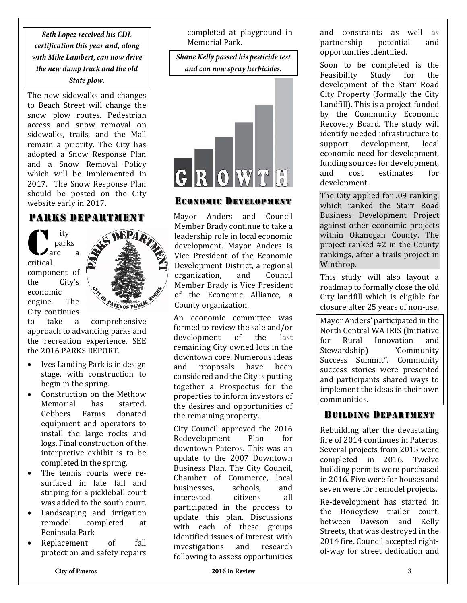**Seth Lopez received his CDL certification this year and, along with Mike Lambert, can now drive the new dump truck and the old** 

#### **State plow.**

The new sidewalks and changes to Beach Street will change the snow plow routes. Pedestrian access and snow removal on sidewalks, trails, and the Mall remain a priority. The City has adopted a Snow Response Plan and a Snow Removal Policy which will be implemented in 2017. The Snow Response Plan should be posted on the City website early in 2017.

#### PARKS DEPARTMENT

ity parks  $\lambda$  are a critical component of the City's economic engine. The City continues  $\overline{\mathbf{C}}$ 



to take a comprehensive approach to advancing parks and the recreation experience. SEE the 2016 PARKS REPORT.

- Ives Landing Park is in design stage, with construction to begin in the spring.
- Construction on the Methow Memorial has started. Gebbers Farms donated equipment and operators to install the large rocks and logs. Final construction of the interpretive exhibit is to be completed in the spring.
- The tennis courts were resurfaced in late fall and striping for a pickleball court was added to the south court.
- Landscaping and irrigation remodel completed at Peninsula Park
- Replacement of fall protection and safety repairs

completed at playground in Memorial Park.

**Shane Kelly passed his pesticide test and can now spray herbicides.** 



## ECONOMIC DEVELOPMENT

Mayor Anders and Council Member Brady continue to take a leadership role in local economic development. Mayor Anders is Vice President of the Economic Development District, a regional organization, and Council Member Brady is Vice President of the Economic Alliance, a County organization. 

An economic committee was formed to review the sale and/or development of the last remaining City owned lots in the downtown core. Numerous ideas and proposals have been considered and the City is putting together a Prospectus for the properties to inform investors of the desires and opportunities of the remaining property.

City Council approved the 2016 Redevelopment Plan for downtown Pateros. This was an update to the 2007 Downtown Business Plan. The City Council, Chamber of Commerce, local businesses, schools, and interested citizens all participated in the process to update this plan. Discussions with each of these groups identified issues of interest with investigations and research following to assess opportunities

and constraints as well as partnership potential and opportunities identified.

Soon to be completed is the Feasibility Study for the development of the Starr Road City Property (formally the City Landfill). This is a project funded by the Community Economic Recovery Board. The study will identify needed infrastructure to support development, local economic need for development, funding sources for development, and cost estimates for development. 

The City applied for .09 ranking, which ranked the Starr Road Business Development Project against other economic projects within Okanogan County. The project ranked  $#2$  in the County rankings, after a trails project in Winthrop. 

This study will also layout a roadmap to formally close the old City landfill which is eligible for closure after 25 years of non-use.

Mayor Anders' participated in the North Central WA IRIS (Initiative for Rural Innovation and Stewardship) "Community Success Summit". Community success stories were presented and participants shared ways to implement the ideas in their own communities. 

### BUILDING DEPARTMENT

Rebuilding after the devastating fire of 2014 continues in Pateros. Several projects from 2015 were completed in 2016. Twelve building permits were purchased in 2016. Five were for houses and seven were for remodel projects.

Re-development has started in the Honeydew trailer court, between Dawson and Kelly Streets, that was destroyed in the 2014 fire. Council accepted rightof-way for street dedication and